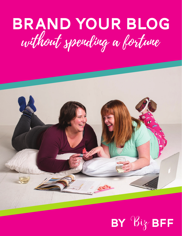## Brand your blog without spending a fortune



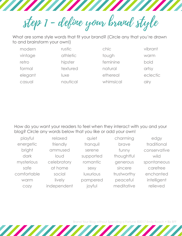step 1 - define your brand style

What are some style words that fit your brand? (Circle any that you're drawn to and brainstorm your own!)

| modern  | rustic   | chic      | vibrant  |
|---------|----------|-----------|----------|
| vintage | athletic | tough     | warm     |
| retro   | hipster  | feminine  | bold     |
| formal  | textured | natural   | artsy    |
| elegant | luxe     | ethereal  | eclectic |
| casual  | nautical | whimsical | alry     |

How do you want your readers to feel when they interact with you and your blog? Circle any words below that you like or add your own!

| playful     | relaxed     | quiet     | charming    | edgy         |
|-------------|-------------|-----------|-------------|--------------|
| energetic   | friendly    | tranquil  | brave       | traditional  |
| bright      | ammused     | serene    | funny       | conservative |
| dark        | loud        | supported | thoughtful  | wild         |
| mysterious  | celebratory | romantic  | generous    | spontaneous  |
| safe        | at home     | sexy      | sincere     | carefree     |
| comfortable | social      | luxurious | trustworthy | enchanted    |
| warm        | lively      | pampered  | peaceful    | intelligent  |
| COZY        | independent | joyful    | meditative  | relieved     |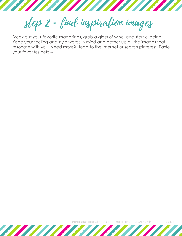step 2 - find inspiration images

Break out your favorite magazines, grab a glass of wine, and start clipping! Keep your feeling and style words in mind and gather up all the images that resonate with you. Need more? Head to the internet or search pinterest. Paste your favorites below.

Brand Your Blog without Spending a Fortune ©2017 Emily Roach • Biz BFF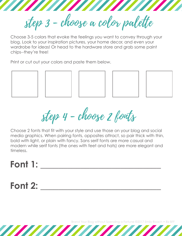step 3 - choose a color palette

**THE THE TELEVISION** 

Choose 3-5 colors that evoke the feelings you want to convey through your blog. Look to your inspiration pictures, your home decor, and even your wardrobe for ideas! Or head to the hardware store and grab some paint chips--they're free!

Print or cut out your colors and paste them below.



step 4 - choose 2 fonts

Choose 2 fonts that fit with your style and use those on your blog and social media graphics. When pairing fonts, opposites attract, so pair thick with thin, bold with light, or plain with fancy. Sans serif fonts are more casual and modern while serif fonts (the ones with feet and hats) are more elegant and timeless.

## **Font 1:**

## **Font 2:**

Brand Your Blog without Spending a Fortune ©2017 Emily Roach • Biz BFF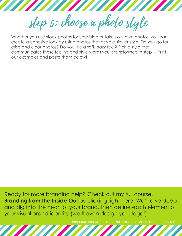step 5: choose a photo style

Whether you use stock photos for your blog or take your own photos, you can create a cohesive look by using photos that have a similar style. Do you go for crisp and clear photos? Do you like a soft, hazy feel? Pick a style that communicates those feeling and style words you brainstormed in step 1. Print out examples and paste them below!

Ready for more branding help? Check out my full course, **Branding from the Inside Out** by clicking right here. We'll dive deep and dig into the heart of your brand, then define each element of your visual brand identity (we'll even design your logo!)

Brand Your Blog without Spending a Fortune ©2017 Emily Roach • Biz BFF